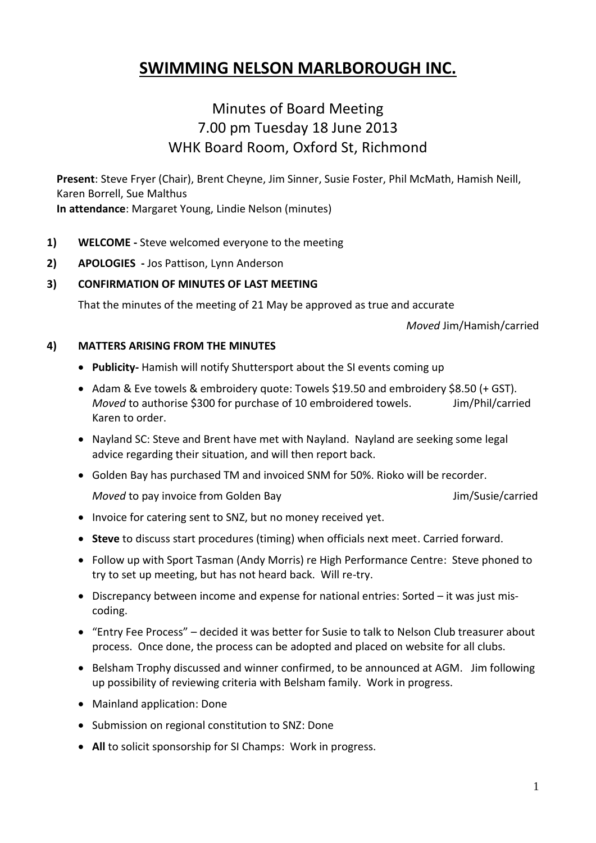# **SWIMMING NELSON MARLBOROUGH INC.**

## Minutes of Board Meeting 7.00 pm Tuesday 18 June 2013 WHK Board Room, Oxford St, Richmond

**Present**: Steve Fryer (Chair), Brent Cheyne, Jim Sinner, Susie Foster, Phil McMath, Hamish Neill, Karen Borrell, Sue Malthus **In attendance**: Margaret Young, Lindie Nelson (minutes)

- **1) WELCOME -** Steve welcomed everyone to the meeting
- **2) APOLOGIES -** Jos Pattison, Lynn Anderson

#### **3) CONFIRMATION OF MINUTES OF LAST MEETING**

That the minutes of the meeting of 21 May be approved as true and accurate

*Moved* Jim/Hamish/carried

#### **4) MATTERS ARISING FROM THE MINUTES**

- **Publicity-** Hamish will notify Shuttersport about the SI events coming up
- Adam & Eve towels & embroidery quote: Towels \$19.50 and embroidery \$8.50 (+ GST). *Moved* to authorise \$300 for purchase of 10 embroidered towels. Jim/Phil/carried Karen to order.
- Nayland SC: Steve and Brent have met with Nayland. Nayland are seeking some legal advice regarding their situation, and will then report back.
- Golden Bay has purchased TM and invoiced SNM for 50%. Rioko will be recorder.

*Moved* to pay invoice from Golden Bay **Accord 2018** Jim/Susie/carried

- Invoice for catering sent to SNZ, but no money received yet.
- **Steve** to discuss start procedures (timing) when officials next meet. Carried forward.
- Follow up with Sport Tasman (Andy Morris) re High Performance Centre: Steve phoned to try to set up meeting, but has not heard back. Will re-try.
- Discrepancy between income and expense for national entries: Sorted it was just miscoding.
- "Entry Fee Process" decided it was better for Susie to talk to Nelson Club treasurer about process.Once done, the process can be adopted and placed on website for all clubs.
- Belsham Trophy discussed and winner confirmed, to be announced at AGM. Jim following up possibility of reviewing criteria with Belsham family. Work in progress.
- Mainland application: Done
- Submission on regional constitution to SNZ: Done
- **All** to solicit sponsorship for SI Champs: Work in progress.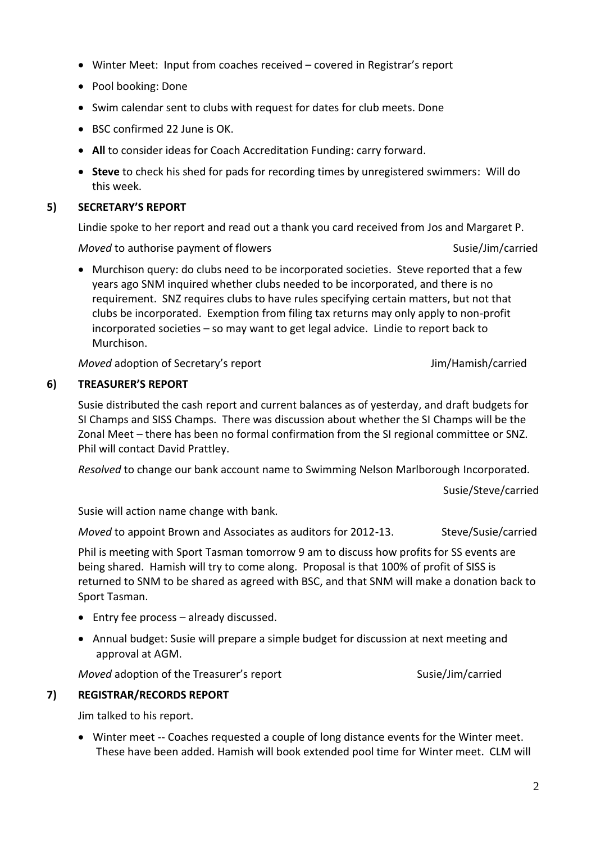- Winter Meet: Input from coaches received covered in Registrar's report
- Pool booking: Done
- Swim calendar sent to clubs with request for dates for club meets. Done
- BSC confirmed 22 June is OK.
- **All** to consider ideas for Coach Accreditation Funding: carry forward.
- **Steve** to check his shed for pads for recording times by unregistered swimmers: Will do this week.

### **5) SECRETARY'S REPORT**

Lindie spoke to her report and read out a thank you card received from Jos and Margaret P.

*Moved* to authorise payment of flowers Susie/Jim/carried

 Murchison query: do clubs need to be incorporated societies. Steve reported that a few years ago SNM inquired whether clubs needed to be incorporated, and there is no requirement. SNZ requires clubs to have rules specifying certain matters, but not that clubs be incorporated. Exemption from filing tax returns may only apply to non-profit incorporated societies – so may want to get legal advice. Lindie to report back to Murchison.

*Moved* adoption of Secretary's report **Accord Accord 12 and 13 and 13 and 14 and 15 and 16 and 16 and 16 and 16 and 16 and 16 and 16 and 16 and 16 and 16 and 16 and 16 and 16 and 16 and 16 and 16 and 16 and 16 and 16 and** 

## **6) TREASURER'S REPORT**

Susie distributed the cash report and current balances as of yesterday, and draft budgets for SI Champs and SISS Champs. There was discussion about whether the SI Champs will be the Zonal Meet – there has been no formal confirmation from the SI regional committee or SNZ. Phil will contact David Prattley.

*Resolved* to change our bank account name to Swimming Nelson Marlborough Incorporated.

Susie/Steve/carried

Susie will action name change with bank.

*Moved* to appoint Brown and Associates as auditors for 2012-13. Steve/Susie/carried

Phil is meeting with Sport Tasman tomorrow 9 am to discuss how profits for SS events are being shared. Hamish will try to come along. Proposal is that 100% of profit of SISS is returned to SNM to be shared as agreed with BSC, and that SNM will make a donation back to Sport Tasman.

- Entry fee process already discussed.
- Annual budget: Susie will prepare a simple budget for discussion at next meeting and approval at AGM.

*Moved* adoption of the Treasurer's report Susie/Jim/carried

## **7) REGISTRAR/RECORDS REPORT**

Jim talked to his report.

 Winter meet -- Coaches requested a couple of long distance events for the Winter meet. These have been added. Hamish will book extended pool time for Winter meet. CLM will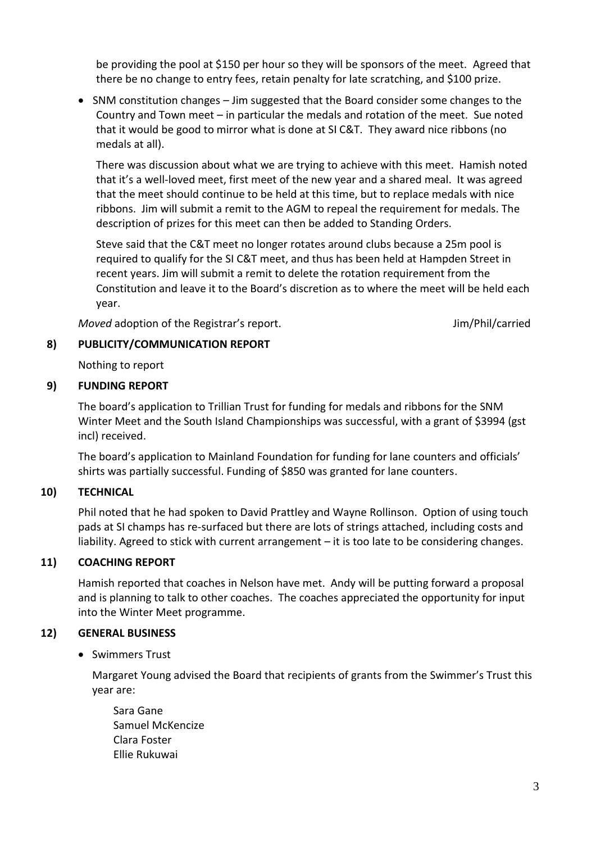be providing the pool at \$150 per hour so they will be sponsors of the meet. Agreed that there be no change to entry fees, retain penalty for late scratching, and \$100 prize.

• SNM constitution changes – Jim suggested that the Board consider some changes to the Country and Town meet – in particular the medals and rotation of the meet. Sue noted that it would be good to mirror what is done at SI C&T. They award nice ribbons (no medals at all).

There was discussion about what we are trying to achieve with this meet. Hamish noted that it's a well-loved meet, first meet of the new year and a shared meal. It was agreed that the meet should continue to be held at this time, but to replace medals with nice ribbons. Jim will submit a remit to the AGM to repeal the requirement for medals. The description of prizes for this meet can then be added to Standing Orders.

Steve said that the C&T meet no longer rotates around clubs because a 25m pool is required to qualify for the SI C&T meet, and thus has been held at Hampden Street in recent years. Jim will submit a remit to delete the rotation requirement from the Constitution and leave it to the Board's discretion as to where the meet will be held each year.

*Moved* adoption of the Registrar's report. The same state of the Registrar's report.

#### **8) PUBLICITY/COMMUNICATION REPORT**

Nothing to report

#### **9) FUNDING REPORT**

The board's application to Trillian Trust for funding for medals and ribbons for the SNM Winter Meet and the South Island Championships was successful, with a grant of \$3994 (gst incl) received.

The board's application to Mainland Foundation for funding for lane counters and officials' shirts was partially successful. Funding of \$850 was granted for lane counters.

#### **10) TECHNICAL**

Phil noted that he had spoken to David Prattley and Wayne Rollinson. Option of using touch pads at SI champs has re-surfaced but there are lots of strings attached, including costs and liability. Agreed to stick with current arrangement – it is too late to be considering changes.

## **11) COACHING REPORT**

Hamish reported that coaches in Nelson have met. Andy will be putting forward a proposal and is planning to talk to other coaches. The coaches appreciated the opportunity for input into the Winter Meet programme.

#### **12) GENERAL BUSINESS**

• Swimmers Trust

Margaret Young advised the Board that recipients of grants from the Swimmer's Trust this year are:

Sara Gane Samuel McKencize Clara Foster Ellie Rukuwai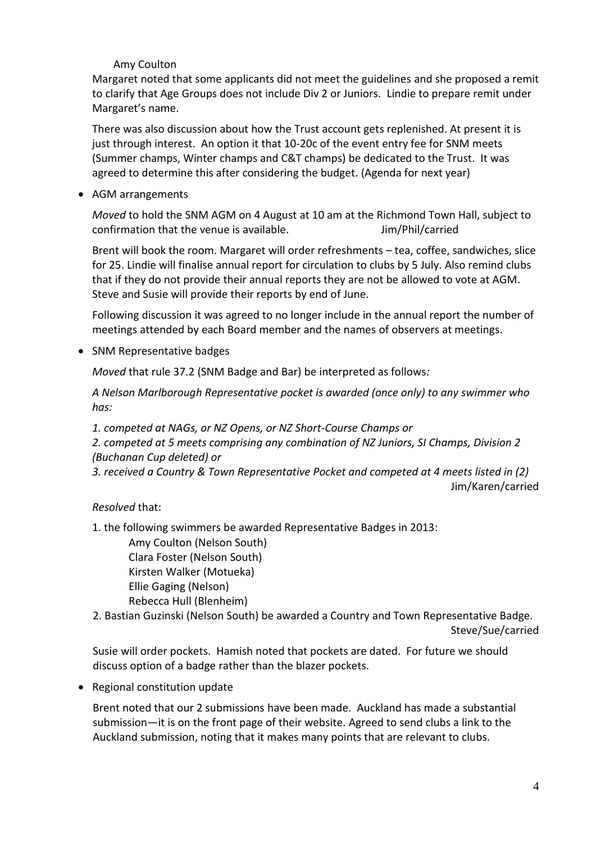## Amy Coulton

Margaret noted that some applicants did not meet the guidelines and she proposed a remit to clarify that Age Groups does not include Div 2 or Juniors. Lindie to prepare remit under Margaret's name.

There was also discussion about how the Trust account gets replenished. At present it is just through interest. An option it that 10-20c of the event entry fee for SNM meets (Summer champs, Winter champs and C&T champs) be dedicated to the Trust. It was agreed to determine this after considering the budget. (Agenda for next year)

AGM arrangements

*Moved* to hold the SNM AGM on 4 August at 10 am at the Richmond Town Hall, subject to confirmation that the venue is available. Some sumply use that the venue is available.

Brent will book the room. Margaret will order refreshments – tea, coffee, sandwiches, slice for 25. Lindie will finalise annual report for circulation to clubs by 5 July. Also remind clubs that if they do not provide their annual reports they are not be allowed to vote at AGM. Steve and Susie will provide their reports by end of June.

Following discussion it was agreed to no longer include in the annual report the number of meetings attended by each Board member and the names of observers at meetings.

• SNM Representative badges

*Moved* that rule 37.2 (SNM Badge and Bar) be interpreted as follows*:*

*A Nelson Marlborough Representative pocket is awarded (once only) to any swimmer who has:*

*1. competed at NAGs, or NZ Opens, or NZ Short-Course Champs or*

*2. competed at 5 meets comprising any combination of NZ Juniors, SI Champs, Division 2 (Buchanan Cup deleted) or*

*3. received a Country & Town Representative Pocket and competed at 4 meets listed in (2)* Jim/Karen/carried

*Resolved* that:

1. the following swimmers be awarded Representative Badges in 2013:

Amy Coulton (Nelson South) Clara Foster (Nelson South) Kirsten Walker (Motueka) Ellie Gaging (Nelson) Rebecca Hull (Blenheim)

2. Bastian Guzinski (Nelson South) be awarded a Country and Town Representative Badge. Steve/Sue/carried

Susie will order pockets. Hamish noted that pockets are dated. For future we should discuss option of a badge rather than the blazer pockets.

• Regional constitution update

Brent noted that our 2 submissions have been made. Auckland has made a substantial submission—it is on the front page of their website. Agreed to send clubs a link to the Auckland submission, noting that it makes many points that are relevant to clubs.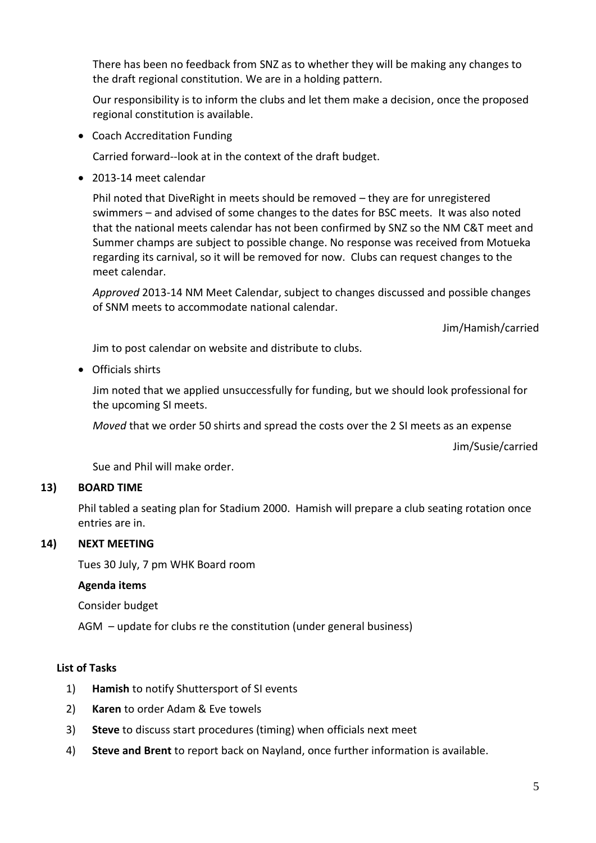There has been no feedback from SNZ as to whether they will be making any changes to the draft regional constitution. We are in a holding pattern.

Our responsibility is to inform the clubs and let them make a decision, once the proposed regional constitution is available.

Coach Accreditation Funding

Carried forward--look at in the context of the draft budget.

2013-14 meet calendar

Phil noted that DiveRight in meets should be removed – they are for unregistered swimmers – and advised of some changes to the dates for BSC meets. It was also noted that the national meets calendar has not been confirmed by SNZ so the NM C&T meet and Summer champs are subject to possible change. No response was received from Motueka regarding its carnival, so it will be removed for now. Clubs can request changes to the meet calendar.

*Approved* 2013-14 NM Meet Calendar, subject to changes discussed and possible changes of SNM meets to accommodate national calendar.

Jim/Hamish/carried

Jim to post calendar on website and distribute to clubs.

Officials shirts

Jim noted that we applied unsuccessfully for funding, but we should look professional for the upcoming SI meets.

*Moved* that we order 50 shirts and spread the costs over the 2 SI meets as an expense

Jim/Susie/carried

Sue and Phil will make order.

#### **13) BOARD TIME**

Phil tabled a seating plan for Stadium 2000. Hamish will prepare a club seating rotation once entries are in.

#### **14) NEXT MEETING**

Tues 30 July, 7 pm WHK Board room

#### **Agenda items**

Consider budget

AGM – update for clubs re the constitution (under general business)

#### **List of Tasks**

- 1) **Hamish** to notify Shuttersport of SI events
- 2) **Karen** to order Adam & Eve towels
- 3) **Steve** to discuss start procedures (timing) when officials next meet
- 4) **Steve and Brent** to report back on Nayland, once further information is available.